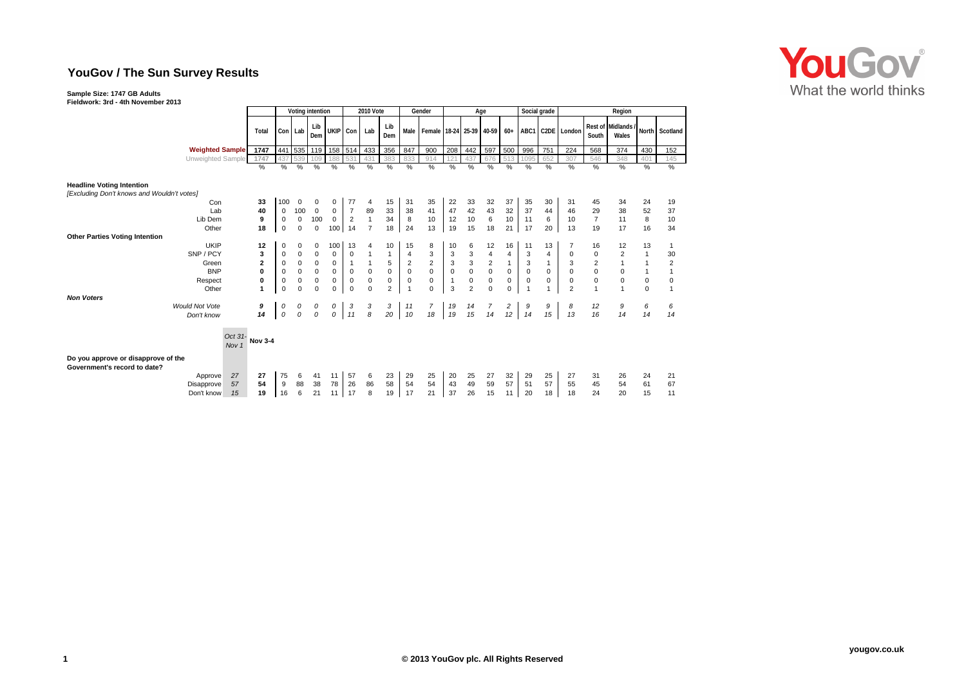# **YouGov / The Sun Survey Results**

## **Sample Size: 1747 GB Adults**

### **Fieldwork: 3rd - 4th November 2013**

|                                                                                       |                | Voting intention |                     |             |             | <b>2010 Vote</b> |                |            | Gender         |                                       | Age          |                |                         |              | Social grade |              | Region         |                |                             |             |                |  |
|---------------------------------------------------------------------------------------|----------------|------------------|---------------------|-------------|-------------|------------------|----------------|------------|----------------|---------------------------------------|--------------|----------------|-------------------------|--------------|--------------|--------------|----------------|----------------|-----------------------------|-------------|----------------|--|
|                                                                                       | Total          | Con              | Lab                 | Lib<br>Dem  | UKIP Con    |                  | Lab            | Lib<br>Dem |                | Male   Female   18-24   25-39   40-59 |              |                |                         | $60+$        | ABC1         |              | C2DE London    | South          | Rest of Midlands /<br>Wales |             | North Scotland |  |
| <b>Weighted Sample</b>                                                                | 1747           | 441              | 535                 | 119         | $158$ 514   |                  | 433            | 356        | 847            | 900                                   | 208          | 442            | 597                     | 500          | 996          | 751          | 224            | 568            | 374                         | 430         | 152            |  |
| Unweighted Sample                                                                     | 1747           | 437              | 539                 | 109         | 188         | 531              | 431            | 383        | 833            | 914                                   | 121          | 437            | 676                     | 513          | 1095         | 652          | 307            | 546            | 348                         | 401         | 145            |  |
|                                                                                       | $\frac{9}{6}$  | %                | %                   | %           | %           | %                | %              | %          | %              | $\%$                                  | $\%$         | %              | %                       | %            | %            | %            | %              | $\%$           | %                           | %           | %              |  |
| <b>Headline Voting Intention</b><br>[Excluding Don't knows and Wouldn't votes]<br>Con | 33             | 100              | 0                   | 0           | 0           | 77               | 4              | 15         | 31             | 35                                    | 22           | 33             | 32                      | 37           | 35           | 30           | 31             | 45             | 34                          | 24          | 19             |  |
| Lab                                                                                   | 40             | 0                | 100                 | $\mathbf 0$ | 0           | $\overline{7}$   | 89             | 33         | 38             | 41                                    | 47           | 42             | 43                      | 32           | 37           | 44           | 46             | 29             | 38                          | 52          | 37             |  |
| Lib Dem                                                                               | 9              | $\mathbf 0$      | $\mathbf 0$         | 100         | $\mathbf 0$ | $\overline{2}$   | $\mathbf{1}$   | 34         | $\bf8$         | 10                                    | 12           | $10$           | 6                       | 10           | 11           | 6            | 10             | $\overline{7}$ | 11                          | 8           | 10             |  |
| Other                                                                                 | 18             | $\mathbf 0$      | $\mathbf 0$         | $\mathbf 0$ | 100         | 14               | $\overline{7}$ | 18         | 24             | 13                                    | 19           | 15             | 18                      | 21           | 17           | 20           | 13             | 19             | 17                          | 16          | 34             |  |
| <b>Other Parties Voting Intention</b>                                                 |                |                  |                     |             |             |                  |                |            |                |                                       |              |                |                         |              |              |              |                |                |                             |             |                |  |
| <b>UKIP</b>                                                                           | 12             | 0                | 0                   | 0           | 100         | 13               | 4              | 10         | 15             | 8                                     | 10           | 6              | 12                      | 16           | 11           | 13           | 7              | 16             | 12                          | 13          | $\mathbf{1}$   |  |
| SNP / PCY                                                                             | 3              | $\mathbf 0$      | $\pmb{0}$           | $\pmb{0}$   | $\mathbf 0$ | 0                |                |            | $\overline{4}$ | 3                                     | 3            | 3              | $\overline{4}$          | 4            | 3            | 4            | 0              | 0              | $\overline{2}$              |             | 30             |  |
| Green                                                                                 | $\mathbf{2}$   | 0                | $\pmb{0}$           | $\pmb{0}$   | $\mathbf 0$ | $\mathbf{1}$     | $\mathbf{1}$   | 5          | 2              | $\overline{\mathbf{c}}$               | $\mathbf{3}$ | 3              | $\overline{\mathbf{c}}$ | $\mathbf{1}$ | 3            | $\mathbf{1}$ | 3              | $\overline{2}$ | $\mathbf{1}$                |             | $\sqrt{2}$     |  |
| <b>BNP</b>                                                                            | 0              | $\mathbf 0$      | $\mathsf{O}\xspace$ | $\pmb{0}$   | $\pmb{0}$   | $\mathsf 0$      | $\pmb{0}$      | $\pmb{0}$  | $\pmb{0}$      | 0                                     | $\mathbf 0$  | $\pmb{0}$      | $\pmb{0}$               | $\pmb{0}$    | $\pmb{0}$    | $\pmb{0}$    | $\pmb{0}$      | $\mathsf 0$    | $\mathsf 0$                 |             | 1              |  |
| Respect                                                                               | 0              | $\mathbf 0$      | $\pmb{0}$           | $\pmb{0}$   | 0           | $\pmb{0}$        | $\pmb{0}$      | 0          | $\bf{0}$       | 0                                     | $\mathbf{1}$ | $\mathbf 0$    | $\pmb{0}$               | 0            | $\mathbf 0$  | $\mathbf 0$  | $\pmb{0}$      | $\pmb{0}$      | $\mathbf 0$                 | $\mathsf 0$ | $\mathbf 0$    |  |
| Other<br><b>Non Voters</b>                                                            | 1              | $\mathbf 0$      | $\Omega$            | $\Omega$    | $\mathbf 0$ | $\mathbf 0$      | $\Omega$       | 2          | $\mathbf{1}$   | $\Omega$                              | 3            | $\overline{2}$ | $\Omega$                | $\mathbf 0$  |              |              | $\overline{2}$ |                | $\overline{1}$              | $\mathbf 0$ | $\mathbf{1}$   |  |
| <b>Would Not Vote</b><br>Don't know                                                   | 9<br>14        | 0<br>0           | 0<br>$\mathcal O$   | 0<br>0      | 0<br>0      | 3<br>11          | 3<br>8         | 3<br>20    | 11<br>10       | $\overline{7}$<br>18                  | 19<br>19     | 14<br>15       | 7<br>14                 | 2<br>12      | 9<br>14      | 9<br>15      | 8<br>13        | 12<br>16       | 9<br>14                     | 6<br>14     | 6<br>14        |  |
|                                                                                       |                |                  |                     |             |             |                  |                |            |                |                                       |              |                |                         |              |              |              |                |                |                             |             |                |  |
| Oct 31-<br>Nov <sub>1</sub><br>Do you approve or disapprove of the                    | <b>Nov 3-4</b> |                  |                     |             |             |                  |                |            |                |                                       |              |                |                         |              |              |              |                |                |                             |             |                |  |
| Government's record to date?                                                          |                |                  |                     |             |             |                  |                |            |                |                                       |              |                |                         |              |              |              |                |                |                             |             |                |  |
| 27<br>Approve                                                                         | 27             | 75               | 6                   | 41          | 11          | 57               | 6              | 23         | 29             | 25                                    | 20           | 25             | 27                      | 32           | 29           | 25           | 27             | 31             | 26                          | 24          | 21             |  |
| 57<br>Disapprove                                                                      | 54             | 9                | 88                  | 38          | 78          | 26               | 86             | 58         | 54             | 54                                    | 43           | 49             | 59                      | 57           | 51           | 57           | 55             | 45             | 54                          | 61          | 67             |  |
| 15<br>Don't know                                                                      | 19             | 16               | 6                   | 21          | 11          | 17               | 8              | 19         | 17             | 21                                    | 37           | 26             | 15                      | 11           | 20           | 18           | 18             | 24             | 20                          | 15          | 11             |  |

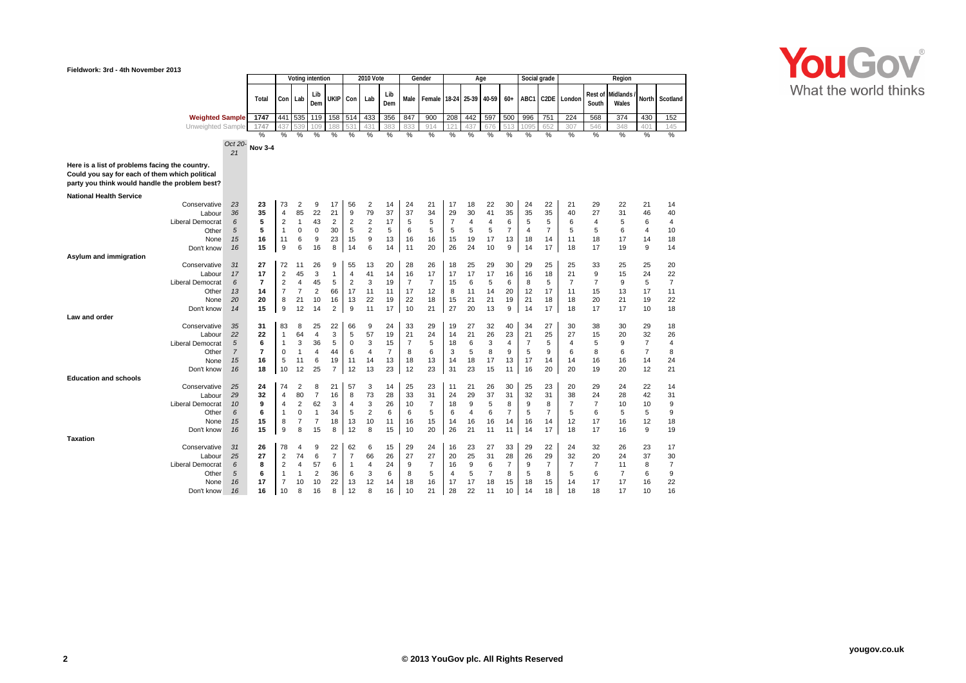#### **Fieldwork: 3rd - 4th November 2013**



|                                                                                                                                                    |                                             | Voting intention                |                                                                                |                                                                              |                                             | <b>2010 Vote</b>                           |                                                       |                                                                | Gender                                       |                                             | Age                                          |                                             |                                             |                                             |                                             | Social grade                                | Region                                      |                                              |                                             |                                              |                                                          |                                              |
|----------------------------------------------------------------------------------------------------------------------------------------------------|---------------------------------------------|---------------------------------|--------------------------------------------------------------------------------|------------------------------------------------------------------------------|---------------------------------------------|--------------------------------------------|-------------------------------------------------------|----------------------------------------------------------------|----------------------------------------------|---------------------------------------------|----------------------------------------------|---------------------------------------------|---------------------------------------------|---------------------------------------------|---------------------------------------------|---------------------------------------------|---------------------------------------------|----------------------------------------------|---------------------------------------------|----------------------------------------------|----------------------------------------------------------|----------------------------------------------|
|                                                                                                                                                    |                                             | Total                           | Con                                                                            | Lab                                                                          | Lib<br>Dem                                  | ukip                                       | Con                                                   | Lab                                                            | Lib<br>Dem                                   | Male                                        | Female                                       | 18-24                                       | 25-39                                       | 40-59                                       | $60+$                                       | ABC1                                        | C2DE                                        | London                                       | Rest of<br>South                            | Midlands<br>Wales                            | North                                                    | Scotland                                     |
| <b>Weighted Sample</b>                                                                                                                             |                                             | 1747                            | 441                                                                            | 535                                                                          | 119                                         | 158                                        | 514                                                   | 433                                                            | 356                                          | 847                                         | 900                                          | 208                                         | 442                                         | 597                                         | 500                                         | 996                                         | 751                                         | 224                                          | 568                                         | 374                                          | 430                                                      | 152                                          |
| Unweighted Sample                                                                                                                                  |                                             | 1747                            | 437                                                                            | 539                                                                          | 109                                         | 188                                        |                                                       | 43                                                             | 383                                          | 833                                         | 914                                          | 12 <sup>1</sup>                             | 137                                         | 676                                         | 51                                          |                                             | 652                                         | 307                                          | 546                                         | 348                                          | 401                                                      | 145                                          |
|                                                                                                                                                    | Oct 20-<br>21                               | $\frac{0}{2}$<br><b>Nov 3-4</b> | %                                                                              | %                                                                            | %                                           | %                                          | %                                                     | %                                                              | $\%$                                         | $\%$                                        | %                                            | $\%$                                        | %                                           | $\%$                                        | $\%$                                        | $\%$                                        | %                                           | %                                            | %                                           | %                                            | %                                                        | $\%$                                         |
| Here is a list of problems facing the country.<br>Could you say for each of them which political<br>party you think would handle the problem best? |                                             |                                 |                                                                                |                                                                              |                                             |                                            |                                                       |                                                                |                                              |                                             |                                              |                                             |                                             |                                             |                                             |                                             |                                             |                                              |                                             |                                              |                                                          |                                              |
| <b>National Health Service</b>                                                                                                                     |                                             |                                 |                                                                                |                                                                              |                                             |                                            |                                                       |                                                                |                                              |                                             |                                              |                                             |                                             |                                             |                                             |                                             |                                             |                                              |                                             |                                              |                                                          |                                              |
| Conservative<br>Labour<br><b>Liberal Democrat</b><br>Other<br>None<br>Don't know                                                                   | 23<br>36<br>6<br>5<br>15<br>16              | 23<br>35<br>5<br>5<br>16<br>15  | 73<br>$\overline{4}$<br>$\overline{2}$<br>$\mathbf{1}$<br>11<br>9              | $\overline{2}$<br>85<br>$\overline{1}$<br>$\mathbf 0$<br>6<br>6              | 9<br>22<br>43<br>0<br>9<br>16               | 17<br>21<br>2<br>30<br>23<br>8             | 56<br>9<br>$\overline{\mathbf{c}}$<br>5<br>15<br>14   | 2<br>79<br>$\overline{\mathbf{c}}$<br>$\overline{2}$<br>9<br>6 | 14<br>37<br>17<br>5<br>13<br>14              | 24<br>37<br>5<br>6<br>16<br>11              | 21<br>34<br>5<br>5<br>16<br>20               | 17<br>29<br>$\overline{7}$<br>5<br>15<br>26 | 18<br>30<br>$\overline{4}$<br>5<br>19<br>24 | 22<br>41<br>4<br>5<br>17<br>10              | 30<br>35<br>6<br>$\overline{7}$<br>13<br>9  | 24<br>35<br>5<br>$\overline{4}$<br>18<br>14 | 22<br>35<br>5<br>$\overline{7}$<br>14<br>17 | 21<br>40<br>6<br>5<br>11<br>18               | 29<br>27<br>$\overline{4}$<br>5<br>18<br>17 | 22<br>31<br>5<br>6<br>17<br>19               | 21<br>46<br>6<br>$\overline{4}$<br>14<br>9               | 14<br>40<br>4<br>10<br>18<br>14              |
| Asylum and immigration                                                                                                                             |                                             |                                 |                                                                                |                                                                              |                                             |                                            |                                                       |                                                                |                                              |                                             |                                              |                                             |                                             |                                             |                                             |                                             |                                             |                                              |                                             |                                              |                                                          |                                              |
| Conservative<br>Labour<br><b>Liberal Democrat</b><br>Other<br>None<br>Don't know<br>Law and order                                                  | 31<br>17<br>6<br>13<br>20<br>14             | 27<br>17<br>7<br>14<br>20<br>15 | 72<br>$\overline{2}$<br>$\overline{2}$<br>$\overline{7}$<br>8<br>9             | 11<br>45<br>4<br>$\overline{7}$<br>21<br>12                                  | 26<br>3<br>45<br>$\overline{2}$<br>10<br>14 | 9<br>1<br>5<br>66<br>16<br>2               | 55<br>$\overline{4}$<br>2<br>17<br>13<br>9            | 13<br>41<br>3<br>11<br>22<br>11                                | 20<br>14<br>19<br>11<br>19<br>17             | 28<br>16<br>7<br>17<br>22<br>10             | 26<br>17<br>$\overline{7}$<br>12<br>18<br>21 | 18<br>17<br>15<br>8<br>15<br>27             | 25<br>17<br>6<br>11<br>21<br>20             | 29<br>17<br>5<br>14<br>21<br>13             | 30<br>16<br>6<br>20<br>19<br>9              | 29<br>16<br>8<br>12<br>21<br>14             | 25<br>18<br>5<br>17<br>18<br>17             | 25<br>21<br>$\overline{7}$<br>11<br>18<br>18 | 33<br>9<br>$\overline{7}$<br>15<br>20<br>17 | 25<br>15<br>9<br>13<br>21<br>17              | 25<br>24<br>5<br>17<br>19<br>10                          | 20<br>22<br>$\overline{7}$<br>11<br>22<br>18 |
| Conservative<br>Labour<br><b>Liberal Democrat</b><br>Other<br>None<br>Don't know                                                                   | 35<br>22<br>5<br>$\overline{7}$<br>15<br>16 | 31<br>22<br>6<br>7<br>16<br>18  | 83<br>$\mathbf{1}$<br>$\mathbf{1}$<br>$\mathbf 0$<br>5<br>10                   | 8<br>64<br>3<br>$\overline{1}$<br>11<br>12                                   | 25<br>$\overline{4}$<br>36<br>4<br>6<br>25  | 22<br>3<br>5<br>44<br>19<br>$\overline{7}$ | 66<br>5<br>$\mathbf 0$<br>6<br>11<br>12               | 9<br>57<br>3<br>$\overline{4}$<br>14<br>13                     | 24<br>19<br>15<br>$\overline{7}$<br>13<br>23 | 33<br>21<br>$\overline{7}$<br>8<br>18<br>12 | 29<br>24<br>5<br>6<br>13<br>23               | 19<br>14<br>18<br>3<br>14<br>31             | 27<br>21<br>6<br>5<br>18<br>23              | 32<br>26<br>3<br>8<br>17<br>15              | 40<br>23<br>$\overline{4}$<br>9<br>13<br>11 | 34<br>21<br>$\overline{7}$<br>5<br>17<br>16 | 27<br>25<br>5<br>9<br>14<br>20              | 30<br>27<br>$\overline{4}$<br>6<br>14<br>20  | 38<br>15<br>5<br>8<br>16<br>19              | 30<br>20<br>9<br>6<br>16<br>20               | 29<br>32<br>$\overline{7}$<br>$\overline{7}$<br>14<br>12 | 18<br>26<br>4<br>8<br>24<br>21               |
| <b>Education and schools</b><br>Conservative<br>Labour<br><b>Liberal Democrat</b><br>Other<br>None<br>Don't know                                   | 25<br>29<br>10<br>6<br>15<br>16             | 24<br>32<br>9<br>6<br>15<br>15  | 74<br>$\overline{4}$<br>$\overline{4}$<br>$\mathbf{1}$<br>8<br>9               | $\overline{2}$<br>80<br>$\overline{2}$<br>$\mathbf 0$<br>$\overline{7}$<br>8 | 8<br>7<br>62<br>1<br>$\overline{7}$<br>15   | 21<br>16<br>3<br>34<br>18<br>8             | 57<br>8<br>4<br>5<br>13<br>12                         | 3<br>73<br>3<br>$\overline{2}$<br>10<br>8                      | 14<br>28<br>26<br>6<br>11<br>15              | 25<br>33<br>10<br>6<br>16<br>10             | 23<br>31<br>$\overline{7}$<br>5<br>15<br>20  | 11<br>24<br>18<br>6<br>14<br>26             | 21<br>29<br>9<br>$\overline{4}$<br>16<br>21 | 26<br>37<br>5<br>6<br>16<br>11              | 30<br>31<br>8<br>$\overline{7}$<br>14<br>11 | 25<br>32<br>9<br>5<br>16<br>14              | 23<br>31<br>8<br>$\overline{7}$<br>14<br>17 | 20<br>38<br>$\overline{7}$<br>5<br>12<br>18  | 29<br>24<br>$\overline{7}$<br>6<br>17<br>17 | 24<br>28<br>10<br>5<br>16<br>16              | 22<br>42<br>10<br>5<br>12<br>9                           | 14<br>31<br>9<br>9<br>18<br>19               |
| <b>Taxation</b><br>Conservative<br>Labour<br><b>Liberal Democrat</b><br>Other<br>None<br>Don't know                                                | 31<br>25<br>6<br>5<br>16<br>16              | 26<br>27<br>8<br>6<br>17<br>16  | 78<br>$\overline{2}$<br>$\overline{2}$<br>$\mathbf{1}$<br>$\overline{7}$<br>10 | 4<br>74<br>$\overline{4}$<br>-1<br>10<br>8                                   | 9<br>6<br>57<br>$\overline{2}$<br>10<br>16  | 22<br>$\overline{7}$<br>6<br>36<br>22<br>8 | 62<br>$\overline{7}$<br>$\mathbf{1}$<br>6<br>13<br>12 | 6<br>66<br>4<br>3<br>12<br>8                                   | 15<br>26<br>24<br>6<br>14<br>16              | 29<br>27<br>9<br>8<br>18<br>10              | 24<br>27<br>$\overline{7}$<br>5<br>16<br>21  | 16<br>20<br>16<br>4<br>17<br>28             | 23<br>25<br>9<br>5<br>17<br>22              | 27<br>31<br>6<br>$\overline{7}$<br>18<br>11 | 33<br>28<br>$\overline{7}$<br>8<br>15<br>10 | 29<br>26<br>9<br>5<br>18<br>14              | 22<br>29<br>7<br>8<br>15<br>18              | 24<br>32<br>$\overline{7}$<br>5<br>14<br>18  | 32<br>20<br>$\overline{7}$<br>6<br>17<br>18 | 26<br>24<br>11<br>$\overline{7}$<br>17<br>17 | 23<br>37<br>8<br>6<br>16<br>10                           | 17<br>30<br>7<br>9<br>22<br>16               |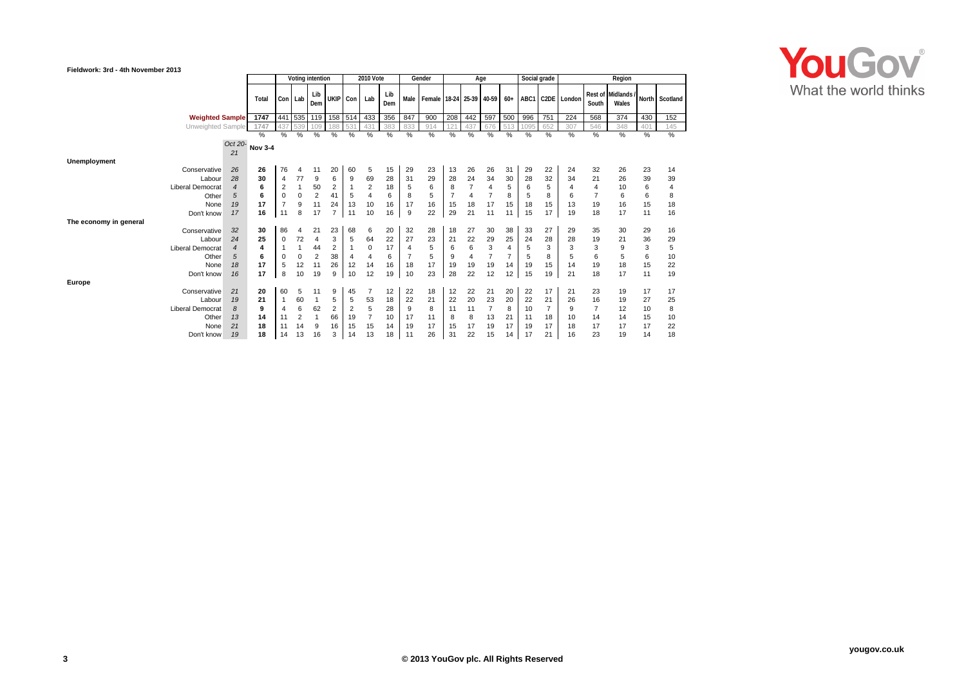#### **Fieldwork: 3rd - 4th November 2013**



| <b>I IGIUWUIK. JIU - TUI INOVGIIIDGI ZUIJ</b> |                         |                |                |                  |                |                |                  |                      |         |            |     |                         |         |                |                      |                |          |                      |                |                      |                           |          |                |  |
|-----------------------------------------------|-------------------------|----------------|----------------|------------------|----------------|----------------|------------------|----------------------|---------|------------|-----|-------------------------|---------|----------------|----------------------|----------------|----------|----------------------|----------------|----------------------|---------------------------|----------|----------------|--|
|                                               |                         |                |                | Voting intention |                |                | <b>2010 Vote</b> |                      |         | Gender     |     | Age                     |         |                |                      | Social grade   | Region   |                      |                |                      |                           |          |                |  |
|                                               |                         |                | Total          |                  | Con Lab        | Lib<br>Dem     | UKIP Con         |                      | Lab     | Lib<br>Dem |     | Male Female 18-24 25-39 |         |                | 40-59                | $60+$          | ABC1     |                      | C2DE London    | South                | Rest of Midlands<br>Wales |          | North Scotland |  |
|                                               | <b>Weighted Sample</b>  |                | 1747           | 441              | 535            | 119            | 158              | 514                  | 433     | 356        | 847 | 900                     | 208     | 442            | 597                  | 500            | 996      | 751                  | 224            | 568                  | 374                       | 430      | 152            |  |
|                                               | Unweighted Sample       |                | 1747           | 437              | 539            | 109            | 188              | 53'                  | 431     | 383        | 833 | 914                     | 12'     | 437            | 676                  | 513            | 095      | 652                  | 307            | 546                  | 348                       | 401      | 145            |  |
|                                               |                         |                | %              | %                | %              | %              | %                | %                    | %       | %          | %   | $\%$                    | %       | %              | %                    | %              | %        | $\%$                 | %              | $\%$                 | %                         | %        | $\frac{1}{6}$  |  |
|                                               |                         | Oct 20-        | <b>Nov 3-4</b> |                  |                |                |                  |                      |         |            |     |                         |         |                |                      |                |          |                      |                |                      |                           |          |                |  |
|                                               |                         | 21             |                |                  |                |                |                  |                      |         |            |     |                         |         |                |                      |                |          |                      |                |                      |                           |          |                |  |
| Unemployment                                  |                         |                |                |                  |                |                |                  |                      |         |            |     |                         |         |                |                      |                |          |                      |                |                      |                           |          |                |  |
|                                               | Conservative            | 26             | 26             | 76               | 4              | 11             | 20               | 60                   | 5       | 15         | 29  | 23                      | 13      | 26             | 26                   | 31             | 29       | 22                   | 24             | 32                   | 26                        | 23       | 14             |  |
|                                               | Labour                  | 28             | 30             | $\overline{4}$   | 77             | 9              | 6                | 9                    | 69      | 28         | 31  | 29                      | 28      | 24             | 34                   | 30             | 28       | 32                   | 34             | 21                   | 26                        | 39       | 39             |  |
|                                               | <b>Liberal Democrat</b> | $\overline{4}$ | 6              | $\overline{2}$   |                | 50             | 2                |                      | 2       | 18         | 5   | 6                       | 8       |                | $\overline{4}$       | 5              | 6        | 5                    | $\overline{4}$ | $\overline{4}$       | 10                        | 6        | 4              |  |
|                                               | Other                   | 5              | 6              | $\mathbf 0$      | $\mathbf 0$    | $\overline{2}$ | 41               | 5                    | 4       | 6          | 8   | 5                       |         | $\overline{4}$ |                      | 8              | 5        | 8                    | 6              | $\overline{7}$       | 6                         | 6        | 8              |  |
|                                               | None                    | 19             | 17             | $\overline{7}$   | 9              | 11             | 24               | 13                   | 10      | 16         | 17  | 16                      | 15      | 18             | 17                   | 15             | 18       | 15                   | 13             | 19                   | 16                        | 15       | 18             |  |
|                                               | Don't know              | 17             | 16             | 11               | 8              | 17             |                  | 11                   | 10      | 16         | 9   | 22                      | 29      | 21             | 11                   | 11             | 15       | 17                   | 19             | 18                   | 17                        | 11       | 16             |  |
| The economy in general                        |                         |                |                |                  |                |                |                  |                      |         |            |     |                         |         |                |                      |                |          |                      |                |                      |                           |          |                |  |
|                                               | Conservative            | 32             | 30             | 86               | 4              | 21             | 23               | 68                   | 6       | 20         | 32  | 28                      | 18      | 27             | 30                   | 38             | 33       | 27                   | 29             | 35                   | 30                        | 29       | 16             |  |
|                                               | Labour                  | 24             | 25             | 0                | 72             | $\overline{4}$ | 3                | 5                    | 64      | 22         | 27  | 23                      | 21      | 22             | 29                   | 25             | 24       | 28                   | 28             | 19                   | 21                        | 36       | 29             |  |
|                                               | <b>Liberal Democrat</b> | $\overline{4}$ | 4              |                  |                | 44             | 2                | $\overline{1}$       | 0       | 17         | 4   | 5                       | 6       | 6              | 3                    | 4              | 5        | 3                    | 3              | 3                    | 9                         | 3        | 5              |  |
|                                               | Other                   | 5              | 6              | 0                | 0              | $\overline{2}$ | 38               | 4                    | 4       | 6          |     | 5                       | 9       | 4              | $\overline{7}$       | $\overline{7}$ | 5        | 8                    | 5              | 6                    | 5                         | 6        | 10             |  |
|                                               | None                    | 18             | 17             | 5                | 12             | 11             | 26               | 12                   | 14      | 16         | 18  | 17                      | 19      | 19             | 19                   | 14             | 19       | 15                   | 14             | 19                   | 18                        | 15       | 22             |  |
|                                               | Don't know              | 16             | 17             | 8                | 10             | 19             | 9                | 10                   | 12      | 19         | 10  | 23                      | 28      | 22             | 12                   | 12             | 15       | 19                   | 21             | 18                   | 17                        | 11       | 19             |  |
| Europe                                        |                         |                |                |                  |                |                |                  |                      |         |            |     |                         |         |                |                      |                |          |                      |                |                      |                           |          |                |  |
|                                               | Conservative            | 21             | 20             | 60               | 5              | 11             | 9                | 45                   |         | 12         | 22  | 18                      | 12      | 22             | 21                   | 20             | 22       | 17                   | 21             | 23                   | 19                        | 17       | 17             |  |
|                                               | Labour                  | 19             | 21             |                  | 60<br>6        |                | 5                | 5                    | 53<br>5 | 18<br>28   | 22  | 21                      | 22      | 20             | 23<br>$\overline{7}$ | 20             | 22       | 21<br>$\overline{7}$ | 26             | 16<br>$\overline{7}$ | 19                        | 27       | 25             |  |
|                                               | <b>Liberal Democrat</b> | 8              | 9<br>14        | $\overline{4}$   | $\overline{2}$ | 62             | $\overline{2}$   | $\overline{2}$<br>19 | 7       | 10         | 9   | 8<br>11                 | 11<br>8 | 11<br>8        |                      | 8              | 10       |                      | 9              | 14                   | 12<br>14                  | 10<br>15 | 8              |  |
|                                               | Other                   | 13             |                | 11               |                |                | 66               |                      |         |            | 17  |                         |         |                | 13                   | 21             | 11       | 18                   | 10             |                      |                           |          | 10             |  |
|                                               | None                    | 21             | 18             | 11               | 14             | 9              | 16               | 15                   | 15      | 14         | 19  | 17                      | 15      | 17             | 19                   | 17             | 19<br>17 | 17                   | 18             | 17                   | 17                        | 17       | 22             |  |
|                                               | Don't know              | 19             | 18             | 14               | 13             | 16             | 3                | 14                   | 13      | 18         | 11  | 26                      | 31      | 22             | 15                   | 14             |          | 21                   | 16             | 23                   | 19                        | 14       | 18             |  |